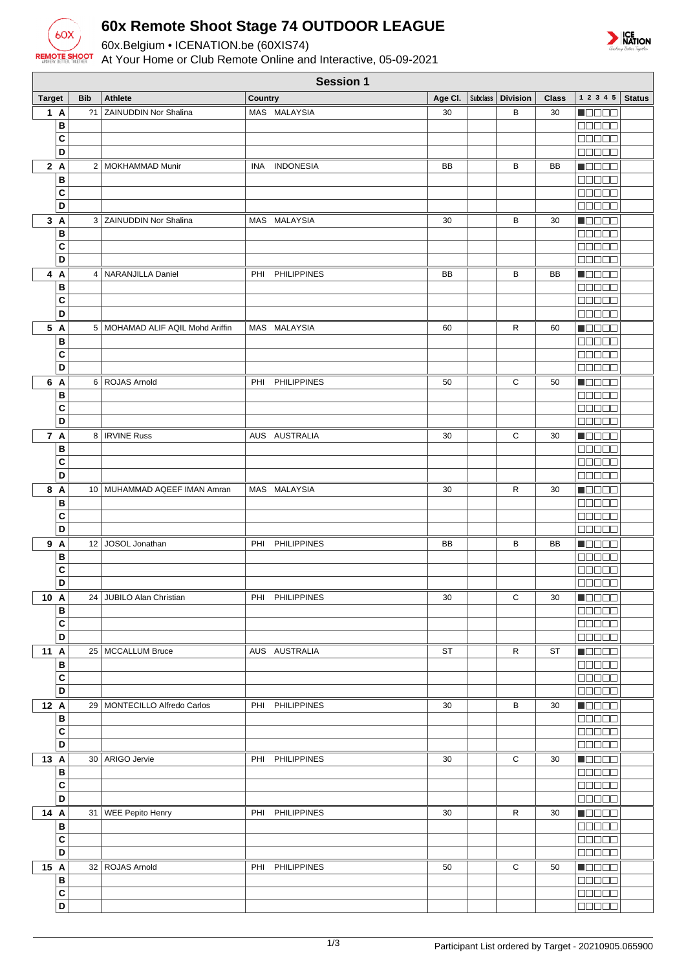

 $\sqrt{2}$ 

## **60x Remote Shoot Stage 74 OUTDOOR LEAGUE**

60x.Belgium • ICENATION.be (60XIS74)

At Your Home or Club Remote Online and Interactive, 05-09-2021



| <b>Session 1</b> |              |            |                                    |         |                    |         |  |                     |              |                             |               |
|------------------|--------------|------------|------------------------------------|---------|--------------------|---------|--|---------------------|--------------|-----------------------------|---------------|
| <b>Target</b>    |              | <b>Bib</b> | <b>Athlete</b>                     | Country |                    | Age Cl. |  | Subclass   Division | <b>Class</b> | $1\ 2\ 3\ 4\ 5$             | <b>Status</b> |
| 1A               |              | 21         | ZAINUDDIN Nor Shalina              |         | MAS MALAYSIA       | 30      |  | B                   | 30           | HOOOO                       |               |
|                  | B            |            |                                    |         |                    |         |  |                     |              | 00000                       |               |
|                  | C            |            |                                    |         |                    |         |  |                     |              | <b>BOOOO</b>                |               |
|                  | D            |            |                                    |         |                    |         |  |                     |              | 00000                       |               |
| 2A               |              |            | 2   MOKHAMMAD Munir                | INA     | <b>INDONESIA</b>   | BB      |  | В                   | BB           | HOOOO                       |               |
|                  | B            |            |                                    |         |                    |         |  |                     |              | 00000                       |               |
|                  | C            |            |                                    |         |                    |         |  |                     |              | <b>DOD00</b>                |               |
|                  | D            |            |                                    |         |                    |         |  |                     |              | <b>00000</b>                |               |
| 3A               |              |            | 3 ZAINUDDIN Nor Shalina            |         | MAS MALAYSIA       | 30      |  | В                   | 30           | Maaaa                       |               |
|                  | B            |            |                                    |         |                    |         |  |                     |              | <b>BEBEE</b>                |               |
|                  | C            |            |                                    |         |                    |         |  |                     |              | 00000                       |               |
|                  | D            |            |                                    |         |                    |         |  |                     |              | 00000                       |               |
| 4 A              |              |            | 4   NARANJILLA Daniel              | PHI     | <b>PHILIPPINES</b> | BB      |  | B                   | BB           | <b>Recep</b>                |               |
|                  | B<br>C       |            |                                    |         |                    |         |  |                     |              | <b>BBBBB</b>                |               |
|                  | D            |            |                                    |         |                    |         |  |                     |              | 80000<br><b>00000</b>       |               |
| 5 A              |              |            | 5   MOHAMAD ALIF AQIL Mohd Ariffin |         | MAS MALAYSIA       | 60      |  | R                   | 60           | $\blacksquare$              |               |
|                  | B            |            |                                    |         |                    |         |  |                     |              | anaan                       |               |
|                  | C            |            |                                    |         |                    |         |  |                     |              | 00000                       |               |
|                  | D            |            |                                    |         |                    |         |  |                     |              | 00000                       |               |
| 6 A              |              |            | 6 ROJAS Arnold                     |         | PHI PHILIPPINES    | 50      |  | C                   | 50           | <b>RECOR</b>                |               |
|                  | B            |            |                                    |         |                    |         |  |                     |              |                             |               |
|                  | C            |            |                                    |         |                    |         |  |                     |              | <b>00000</b>                |               |
|                  | D            |            |                                    |         |                    |         |  |                     |              | <b>COLOR</b>                |               |
| 7 A              |              |            | 8   IRVINE Russ                    |         | AUS AUSTRALIA      | 30      |  | С                   | 30           | <b>Nadaa</b>                |               |
|                  | в            |            |                                    |         |                    |         |  |                     |              | 00000                       |               |
|                  | C            |            |                                    |         |                    |         |  |                     |              | <b>00000</b>                |               |
|                  | D            |            |                                    |         |                    |         |  |                     |              | <b>00000</b>                |               |
| 8 A              |              |            | 10   MUHAMMAD AQEEF IMAN Amran     |         | MAS MALAYSIA       | 30      |  | R                   | 30           | $\Box$ $\Box$ $\Box$ $\Box$ |               |
|                  | B            |            |                                    |         |                    |         |  |                     |              | <b>BBBBB</b>                |               |
|                  | C            |            |                                    |         |                    |         |  |                     |              | 88888                       |               |
|                  | D            |            |                                    |         |                    |         |  |                     |              | 00000                       |               |
| 9 A              |              | 12         | JOSOL Jonathan                     | PHI     | <b>PHILIPPINES</b> | BB      |  | B                   | BB           | <b>MODER</b>                |               |
|                  | B            |            |                                    |         |                    |         |  |                     |              | <b>00000</b>                |               |
|                  | C            |            |                                    |         |                    |         |  |                     |              | <b>BBBBB</b>                |               |
|                  | D            |            |                                    |         |                    |         |  |                     |              | 00000                       |               |
| 10 A             | B            | 24         | JUBILO Alan Christian              |         | PHI PHILIPPINES    | 30      |  | C                   | 30           | <b>NODER</b>                |               |
|                  | C            |            |                                    |         |                    |         |  |                     |              | <b>00000</b>                |               |
|                  | D            |            |                                    |         |                    |         |  |                     |              | ,00000                      |               |
| 11 A             |              |            | 25   MCCALLUM Bruce                |         | AUS AUSTRALIA      | ST      |  | R                   | ST           | Macas                       |               |
|                  | В            |            |                                    |         |                    |         |  |                     |              | $\Box \Box \Box \Box \Box$  |               |
|                  | C            |            |                                    |         |                    |         |  |                     |              | $\Box \Box \Box \Box \Box$  |               |
|                  | D            |            |                                    |         |                    |         |  |                     |              | <b>BBBBB</b>                |               |
| 12 A             |              |            | 29   MONTECILLO Alfredo Carlos     |         | PHI PHILIPPINES    | 30      |  | В                   | 30           | Maaaa                       |               |
|                  | B            |            |                                    |         |                    |         |  |                     |              | <b>00000</b>                |               |
|                  | C            |            |                                    |         |                    |         |  |                     |              | 00000                       |               |
|                  | D            |            |                                    |         |                    |         |  |                     |              | $\Box \Box \Box \Box \Box$  |               |
| 13 A             |              |            | 30   ARIGO Jervie                  |         | PHI PHILIPPINES    | 30      |  | С                   | 30           | Maaaa                       |               |
|                  | B            |            |                                    |         |                    |         |  |                     |              | 00000                       |               |
|                  | C            |            |                                    |         |                    |         |  |                     |              | 88888                       |               |
|                  | D            |            |                                    |         |                    |         |  |                     |              | 00000                       |               |
| 14 A             |              |            | 31   WEE Pepito Henry              |         | PHI PHILIPPINES    | 30      |  | R                   | 30           | <b>NODOO</b>                |               |
|                  | B            |            |                                    |         |                    |         |  |                     |              | <b>00000</b>                |               |
|                  | C<br>D       |            |                                    |         |                    |         |  |                     |              | <b>BEBEE</b>                |               |
|                  |              |            |                                    |         |                    |         |  |                     |              | $\Box$                      |               |
| 15 A             | $\, {\bf B}$ |            | 32   ROJAS Arnold                  |         | PHI PHILIPPINES    | 50      |  | С                   | 50           | Maaaa                       |               |
|                  | $\mathbf{C}$ |            |                                    |         |                    |         |  |                     |              | 00000                       |               |
|                  | D            |            |                                    |         |                    |         |  |                     |              | ,00000                      |               |
|                  |              |            |                                    |         |                    |         |  |                     |              |                             |               |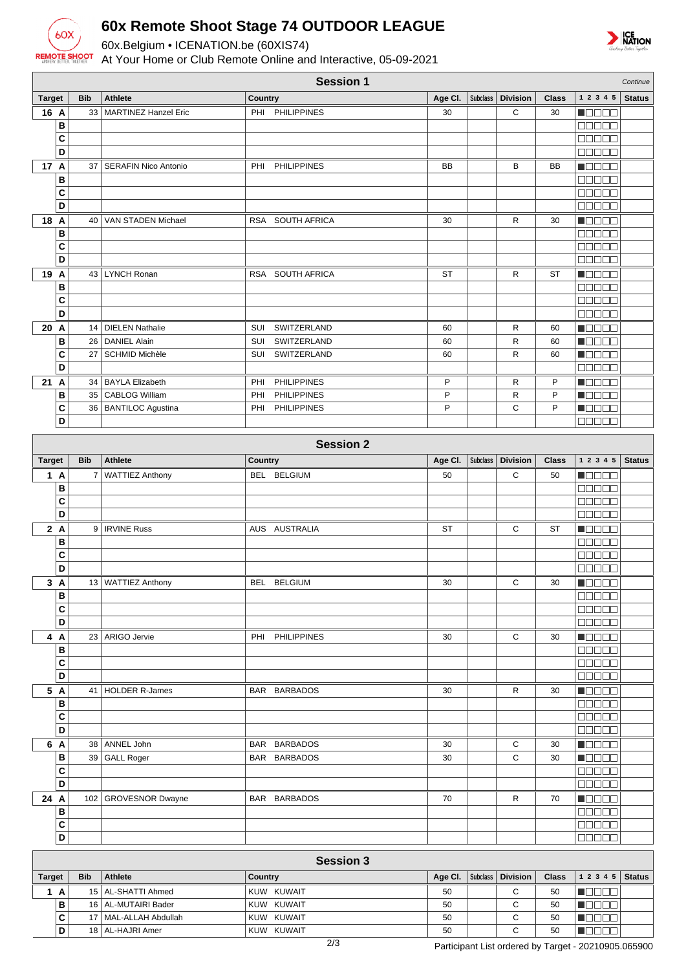

## **60x Remote Shoot Stage 74 OUTDOOR LEAGUE**

60x.Belgium • ICENATION.be (60XIS74)

At Your Home or Club Remote Online and Interactive, 05-09-2021



|               | <b>Session 1</b><br>Continue |                |                             |         |                    |           |                 |                 |              |                                              |               |
|---------------|------------------------------|----------------|-----------------------------|---------|--------------------|-----------|-----------------|-----------------|--------------|----------------------------------------------|---------------|
| <b>Target</b> | <b>Bib</b>                   |                | <b>Athlete</b>              | Country |                    | Age Cl.   | <b>Subclass</b> | <b>Division</b> | <b>Class</b> | 1 2 3 4 5                                    | <b>Status</b> |
| 16 A          |                              | 33             | <b>MARTINEZ Hanzel Eric</b> | PHI     | <b>PHILIPPINES</b> | 30        |                 | С               | 30           | <u> Hees</u>                                 |               |
|               | B                            |                |                             |         |                    |           |                 |                 |              | <b>00000</b>                                 |               |
|               | C                            |                |                             |         |                    |           |                 |                 |              | <b>NOBED</b>                                 |               |
|               | D                            |                |                             |         |                    |           |                 |                 |              | 88888                                        |               |
| 17 A          |                              | 37             | <b>SERAFIN Nico Antonio</b> | PHI     | <b>PHILIPPINES</b> | <b>BB</b> |                 | B               | BB           | n 88 88                                      |               |
|               | B                            |                |                             |         |                    |           |                 |                 |              | 88888                                        |               |
|               | C                            |                |                             |         |                    |           |                 |                 |              | <b>REBEE</b>                                 |               |
|               | D                            |                |                             |         |                    |           |                 |                 |              | 88888                                        |               |
| 18 A          |                              | 40             | VAN STADEN Michael          |         | RSA SOUTH AFRICA   | 30        |                 | R               | 30           | Maaaa                                        |               |
|               | B<br>C                       |                |                             |         |                    |           |                 |                 |              | 88888<br>00000                               |               |
|               | D                            |                |                             |         |                    |           |                 |                 |              | aasaa                                        |               |
| 19 A          |                              |                | 43 LYNCH Ronan              |         | RSA SOUTH AFRICA   | <b>ST</b> |                 | R               | <b>ST</b>    | N BEL B                                      |               |
|               | B                            |                |                             |         |                    |           |                 |                 |              | <b>BEBEE</b>                                 |               |
|               | C                            |                |                             |         |                    |           |                 |                 |              | 00000                                        |               |
|               | D                            |                |                             |         |                    |           |                 |                 |              | aan aa                                       |               |
| 20 A          |                              |                | 14   DIELEN Nathalie        | SUI     | SWITZERLAND        | 60        |                 | R               | 60           | <b>H</b> OOOO                                |               |
|               | В                            | 26             | <b>DANIEL Alain</b>         | SUI     | SWITZERLAND        | 60        |                 | R               | 60           | n de se                                      |               |
|               | C                            | 27             | <b>SCHMID Michèle</b>       | SUI     | SWITZERLAND        | 60        |                 | R               | 60           | n Booa                                       |               |
|               | D                            |                |                             |         |                    |           |                 |                 |              | 00000                                        |               |
| 21A           |                              | 34             | <b>BAYLA Elizabeth</b>      | PHI     | <b>PHILIPPINES</b> | P         |                 | R               | P            | n 880a                                       |               |
|               | B                            | 35             | <b>CABLOG William</b>       | PHI     | <b>PHILIPPINES</b> | P         |                 | R               | P            | <b>N</b> ooce                                |               |
|               | C                            | 36             | <b>BANTILOC Agustina</b>    | PHI     | <b>PHILIPPINES</b> | P         |                 | C               | P            | Maaaa                                        |               |
|               | D                            |                |                             |         |                    |           |                 |                 |              | 88888                                        |               |
|               |                              |                |                             |         | <b>Session 2</b>   |           |                 |                 |              |                                              |               |
| <b>Target</b> | <b>Bib</b>                   |                | <b>Athlete</b>              | Country |                    | Age CI.   | <b>Subclass</b> | <b>Division</b> | <b>Class</b> | 1 2 3 4 5                                    | <b>Status</b> |
| 1 A           |                              | $\overline{7}$ | <b>WATTIEZ Anthony</b>      | BEL     | <b>BELGIUM</b>     | 50        |                 | С               | 50           | N O O O O                                    |               |
|               | B                            |                |                             |         |                    |           |                 |                 |              | <b>BOBBB</b>                                 |               |
|               | C                            |                |                             |         |                    |           |                 |                 |              | aan aa                                       |               |
|               | D                            |                |                             |         |                    |           |                 |                 |              | an da a                                      |               |
| 2A            |                              | 9              | <b>IRVINE Russ</b>          |         | AUS AUSTRALIA      | <b>ST</b> |                 | С               | <b>ST</b>    | n de se                                      |               |
|               | в                            |                |                             |         |                    |           |                 |                 |              | <b>BBBBB</b>                                 |               |
|               | C                            |                |                             |         |                    |           |                 |                 |              | anaan                                        |               |
|               | D                            |                |                             |         |                    |           |                 |                 |              | 88888                                        |               |
| 3A            |                              |                | 13 WATTIEZ Anthony          |         | BEL BELGIUM        | 30        |                 | С               | 30           | N BEER                                       |               |
|               | в                            |                |                             |         |                    |           |                 |                 |              | 88888                                        |               |
|               | C                            |                |                             |         |                    |           |                 |                 |              | Maaaa                                        |               |
|               | D                            |                |                             |         |                    |           |                 |                 |              | <b>00000</b>                                 |               |
| 4 A           |                              |                | 23 ARIGO Jervie             |         | PHI PHILIPPINES    | 30        |                 | C               | 30           | N E E E E                                    |               |
|               | B                            |                |                             |         |                    |           |                 |                 |              | 88888                                        |               |
|               | $\mathbf{C}$<br>D            |                |                             |         |                    |           |                 |                 |              | 88888                                        |               |
|               |                              |                |                             |         |                    |           |                 |                 |              | ooooo                                        |               |
| 5 A           | B                            |                | 41   HOLDER R-James         |         | BAR BARBADOS       | 30        |                 | R               | 30           | n an an<br>88888                             |               |
|               | $\mathbf{C}$                 |                |                             |         |                    |           |                 |                 |              | 88888                                        |               |
|               | D                            |                |                             |         |                    |           |                 |                 |              | <b>00000</b>                                 |               |
| 6 A           |                              |                | 38 ANNEL John               |         | BAR BARBADOS       | 30        |                 | С               | 30           | $\blacksquare$ $\square$ $\square$ $\square$ |               |
|               | в                            | 39             | <b>GALL Roger</b>           |         | BAR BARBADOS       | 30        |                 | C               | 30           | Maaaa                                        |               |
|               | C                            |                |                             |         |                    |           |                 |                 |              | ana na                                       |               |
|               | D                            |                |                             |         |                    |           |                 |                 |              | 88888                                        |               |
| 24 A          |                              | 102            | <b>GROVESNOR Dwayne</b>     |         | BAR BARBADOS       | 70        |                 | R               | 70           | Ma Bala                                      |               |
|               | B                            |                |                             |         |                    |           |                 |                 |              | 88888                                        |               |
|               | $\mathbf{C}$                 |                |                             |         |                    |           |                 |                 |              | MA MA M                                      |               |
|               | D                            |                |                             |         |                    |           |                 |                 |              | 88888                                        |               |
|               | <b>Session 3</b>             |                |                             |         |                    |           |                 |                 |              |                                              |               |
| <b>Target</b> | <b>Bib</b>                   |                | Athlete                     | Country |                    | Age Cl.   | <b>Subclass</b> | <b>Division</b> | <b>Class</b> | $1\ 2\ 3\ 4\ 5$                              | <b>Status</b> |
| 1A            |                              |                | 15   AL-SHATTI Ahmed        |         | KUW KUWAIT         | 50        |                 | С               | 50           | <b>M</b> OOOO                                |               |
|               | в                            |                | 16   AL-MUTAIRI Bader       |         | KUW KUWAIT         | 50        |                 | С               | 50           | $\blacksquare$                               |               |
|               | C                            |                | 17   MAL-ALLAH Abdullah     |         | KUW KUWAIT         | 50        |                 | C               | 50           | <b>Maaaa</b>                                 |               |
|               | D                            |                | 18 AL-HAJRI Amer            |         | KUW KUWAIT         | 50        |                 | C               | 50           | <b>Reces</b>                                 |               |